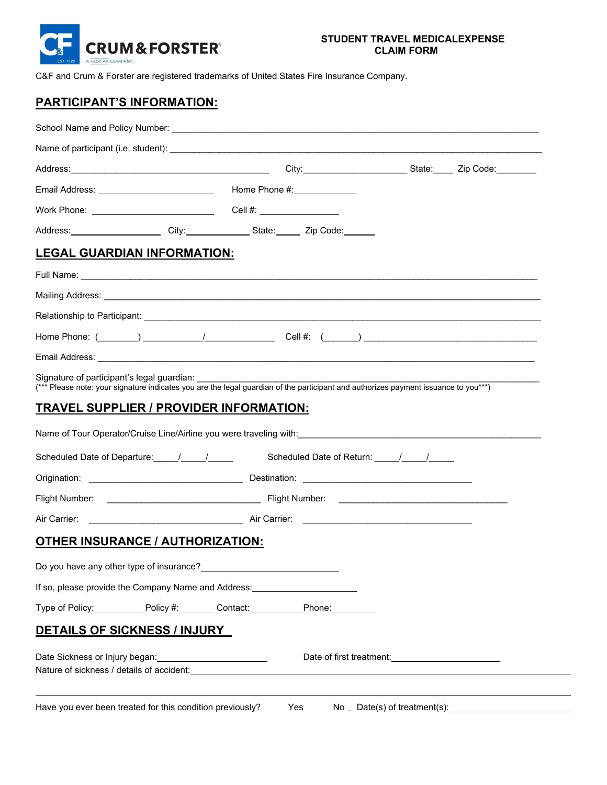

C&F and Crum & Forster are registered trademarks of United States Fire Insurance Company.

# **PARTICIPANT'S INFORMATION:**

| School Name and Policy Number: University of the Contract of the Contract of the Contract of the Contract of the Contract of the Contract of the Contract of the Contract of the Contract of the Contract of the Contract of t       |  |     |                                                   |  |  |
|--------------------------------------------------------------------------------------------------------------------------------------------------------------------------------------------------------------------------------------|--|-----|---------------------------------------------------|--|--|
|                                                                                                                                                                                                                                      |  |     |                                                   |  |  |
| Address: Zip Code: City: City: City: City: State: Zip Code: City: City: City: City: City: City: City: City: City: City: City: City: City: City: City: City: City: City: City: City: City: City: City: City: City: City: City:        |  |     |                                                   |  |  |
|                                                                                                                                                                                                                                      |  |     |                                                   |  |  |
|                                                                                                                                                                                                                                      |  |     |                                                   |  |  |
| Address: City: City: State: Zip Code:                                                                                                                                                                                                |  |     |                                                   |  |  |
| <b>LEGAL GUARDIAN INFORMATION:</b>                                                                                                                                                                                                   |  |     |                                                   |  |  |
|                                                                                                                                                                                                                                      |  |     |                                                   |  |  |
| Mailing Address: <u>example and the contract of the contract of the contract of the contract of the contract of the contract of the contract of the contract of the contract of the contract of the contract of the contract of </u> |  |     |                                                   |  |  |
|                                                                                                                                                                                                                                      |  |     |                                                   |  |  |
|                                                                                                                                                                                                                                      |  |     |                                                   |  |  |
|                                                                                                                                                                                                                                      |  |     |                                                   |  |  |
| Signature of participant's legal guardian:<br>(*** Please note: your signature indicates you are the legal guardian of the participant and authorizes payment issuance to you***)                                                    |  |     |                                                   |  |  |
| <u>TRAVEL SUPPLIER / PROVIDER INFORMATION:</u>                                                                                                                                                                                       |  |     |                                                   |  |  |
|                                                                                                                                                                                                                                      |  |     |                                                   |  |  |
|                                                                                                                                                                                                                                      |  |     |                                                   |  |  |
|                                                                                                                                                                                                                                      |  |     |                                                   |  |  |
|                                                                                                                                                                                                                                      |  |     |                                                   |  |  |
|                                                                                                                                                                                                                                      |  |     |                                                   |  |  |
| <b>OTHER INSURANCE / AUTHORIZATION:</b>                                                                                                                                                                                              |  |     |                                                   |  |  |
| Do you have any other type of insurance?                                                                                                                                                                                             |  |     |                                                   |  |  |
| If so, please provide the Company Name and Address: ____________________________                                                                                                                                                     |  |     |                                                   |  |  |
| Type of Policy: Policy #: Contact: Phone: Phone:                                                                                                                                                                                     |  |     |                                                   |  |  |
| <b>DETAILS OF SICKNESS / INJURY</b>                                                                                                                                                                                                  |  |     |                                                   |  |  |
| Date Sickness or Injury began: 2008 2010 2021<br>Nature of sickness / details of accident: Nature of sickness / details of accident:                                                                                                 |  |     | Date of first treatment: Date of first treatment: |  |  |
| Have you ever been treated for this condition previously?                                                                                                                                                                            |  | Yes |                                                   |  |  |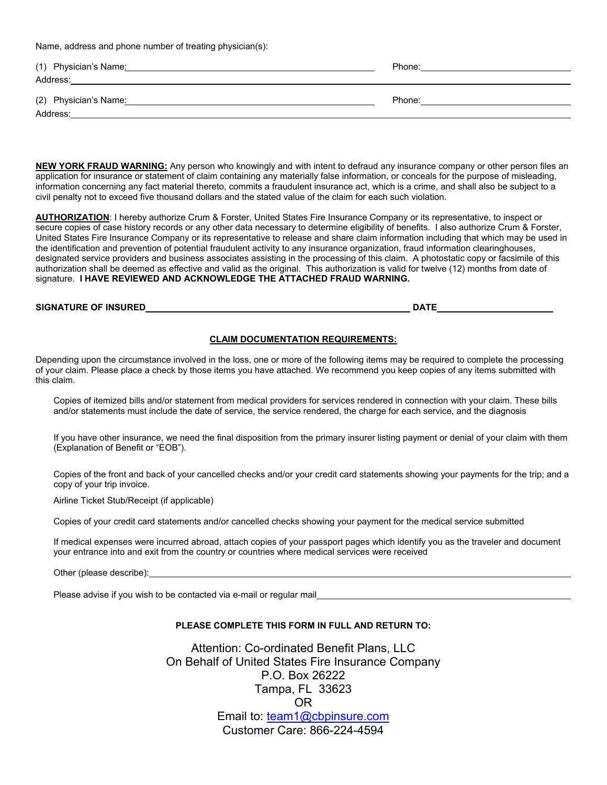Name, address and phone number of treating physician(s):

| (1) Physician's Name: | Phone: |
|-----------------------|--------|
| Address:              |        |
| (2) Physician's Name: | Phone: |
| Address:              |        |

**NEW YORK FRAUD WARNING:** Any person who knowingly and with intent to defraud any insurance company or other person files an application for insurance or statement of claim containing any materially false information, or conceals for the purpose of misleading, information concerning any fact material thereto, commits a fraudulent insurance act, which is a crime, and shall also be subject to a civil penalty not to exceed five thousand dollars and the stated value of the claim for each such violation.

**AUTHORIZATION**: I hereby authorize Crum & Forster, United States Fire Insurance Company or its representative, to inspect or secure copies of case history records or any other data necessary to determine eligibility of benefits. I also authorize Crum & Forster, United States Fire Insurance Company or its representative to release and share claim information including that which may be used in the identification and prevention of potential fraudulent activity to any insurance organization, fraud information clearinghouses, designated service providers and business associates assisting in the processing of this claim. A photostatic copy or facsimile of this authorization shall be deemed as effective and valid as the original. This authorization is valid for twelve (12) months from date of signature. **I HAVE REVIEWED AND ACKNOWLEDGE THE ATTACHED FRAUD WARNING.**

## **SIGNATURE OF INSURED DATE**

#### **CLAIM DOCUMENTATION REQUIREMENTS:**

Depending upon the circumstance involved in the loss, one or more of the following items may be required to complete the processing of your claim. Please place a check by those items you have attached. We recommend you keep copies of any items submitted with this claim.

Copies of itemized bills and/or statement from medical providers for services rendered in connection with your claim. These bills and/or statements must include the date of service, the service rendered, the charge for each service, and the diagnosis

If you have other insurance, we need the final disposition from the primary insurer listing payment or denial of your claim with them (Explanation of Benefit or "EOB").

Copies of the front and back of your cancelled checks and/or your credit card statements showing your payments for the trip; and a copy of your trip invoice.

Airline Ticket Stub/Receipt (if applicable)

Copies of your credit card statements and/or cancelled checks showing your payment for the medical service submitted

If medical expenses were incurred abroad, attach copies of your passport pages which identify you as the traveler and document your entrance into and exit from the country or countries where medical services were received

Other (please describe):

Please advise if you wish to be contacted via e-mail or regular mail

#### **PLEASE COMPLETE THIS FORM IN FULL AND RETURN TO:**

Attention: Co-ordinated Benefit Plans, LLC On Behalf of United States Fire Insurance Company P.O. Box 26222 Tampa, FL 33623 OR Email to: team1@cbpinsure.com Customer Care: 866-224-4594